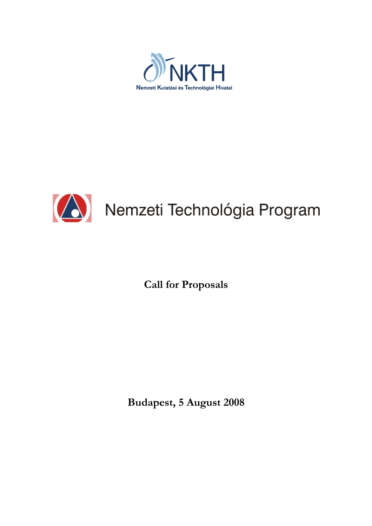



Call for Proposals

Budapest, 5 August 2008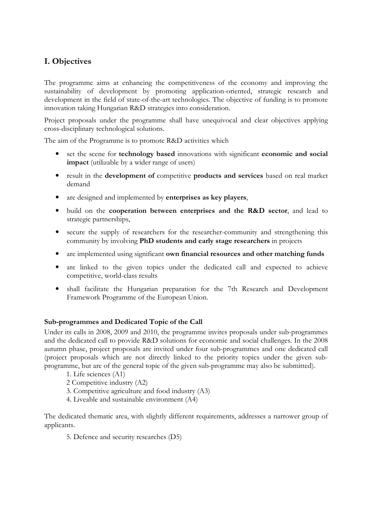# I. Objectives

The programme aims at enhancing the competitiveness of the economy and improving the sustainability of development by promoting application-oriented, strategic research and development in the field of state-of-the-art technologies. The objective of funding is to promote innovation taking Hungarian R&D strategies into consideration.

Project proposals under the programme shall have unequivocal and clear objectives applying cross-disciplinary technological solutions.

The aim of the Programme is to promote R&D activities which

- set the scene for technology based innovations with significant economic and social impact (utilizable by a wider range of users)
- result in the development of competitive products and services based on real market demand
- are designed and implemented by enterprises as key players,
- build on the cooperation between enterprises and the R&D sector, and lead to strategic partnerships,
- secure the supply of researchers for the researcher-community and strengthening this community by involving PhD students and early stage researchers in projects
- are implemented using significant own financial resources and other matching funds
- are linked to the given topics under the dedicated call and expected to achieve competitive, world-class results
- shall facilitate the Hungarian preparation for the 7th Research and Development Framework Programme of the European Union.

### Sub-programmes and Dedicated Topic of the Call

Under its calls in 2008, 2009 and 2010, the programme invites proposals under sub-programmes and the dedicated call to provide R&D solutions for economic and social challenges. In the 2008 autumn phase, project proposals are invited under four sub-programmes and one dedicated call (project proposals which are not directly linked to the priority topics under the given subprogramme, but are of the general topic of the given sub-programme may also be submitted).

- 1. Life sciences (A1)
- 2 Competitive industry (A2)
- 3. Competitive agriculture and food industry (A3)
- 4. Liveable and sustainable environment (A4)

The dedicated thematic area, with slightly different requirements, addresses a narrower group of applicants.

5. Defence and security researches (D5)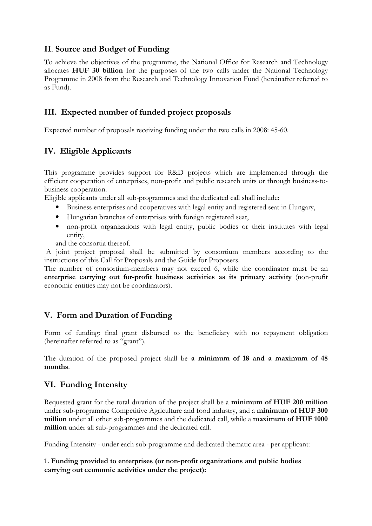## II. Source and Budget of Funding

To achieve the objectives of the programme, the National Office for Research and Technology allocates HUF 30 billion for the purposes of the two calls under the National Technology Programme in 2008 from the Research and Technology Innovation Fund (hereinafter referred to as Fund).

## III. Expected number of funded project proposals

Expected number of proposals receiving funding under the two calls in 2008: 45-60.

# IV. Eligible Applicants

This programme provides support for R&D projects which are implemented through the efficient cooperation of enterprises, non-profit and public research units or through business-tobusiness cooperation.

Eligible applicants under all sub-programmes and the dedicated call shall include:

- Business enterprises and cooperatives with legal entity and registered seat in Hungary,
- Hungarian branches of enterprises with foreign registered seat,
- non-profit organizations with legal entity, public bodies or their institutes with legal entity,

and the consortia thereof.

 A joint project proposal shall be submitted by consortium members according to the instructions of this Call for Proposals and the Guide for Proposers.

The number of consortium-members may not exceed 6, while the coordinator must be an enterprise carrying out for-profit business activities as its primary activity (non-profit economic entities may not be coordinators).

# V. Form and Duration of Funding

Form of funding: final grant disbursed to the beneficiary with no repayment obligation (hereinafter referred to as "grant").

The duration of the proposed project shall be a minimum of 18 and a maximum of 48 months.

## VI. Funding Intensity

Requested grant for the total duration of the project shall be a minimum of HUF 200 million under sub-programme Competitive Agriculture and food industry, and a minimum of HUF 300 million under all other sub-programmes and the dedicated call, while a maximum of HUF 1000 million under all sub-programmes and the dedicated call.

Funding Intensity - under each sub-programme and dedicated thematic area - per applicant:

#### 1. Funding provided to enterprises (or non-profit organizations and public bodies carrying out economic activities under the project):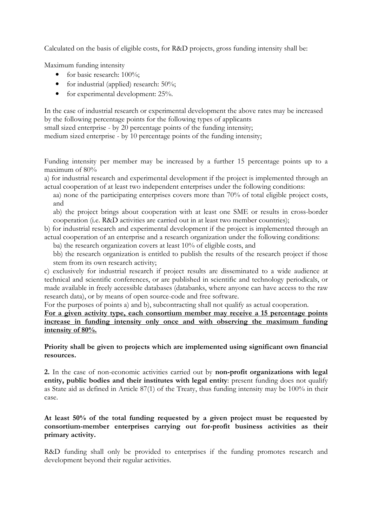Calculated on the basis of eligible costs, for R&D projects, gross funding intensity shall be:

Maximum funding intensity

- for basic research: 100%;
- for industrial (applied) research: 50%;
- for experimental development: 25%.

In the case of industrial research or experimental development the above rates may be increased by the following percentage points for the following types of applicants

small sized enterprise - by 20 percentage points of the funding intensity;

medium sized enterprise - by 10 percentage points of the funding intensity;

Funding intensity per member may be increased by a further 15 percentage points up to a maximum of 80%

a) for industrial research and experimental development if the project is implemented through an actual cooperation of at least two independent enterprises under the following conditions:

aa) none of the participating enterprises covers more than 70% of total eligible project costs, and

ab) the project brings about cooperation with at least one SME or results in cross-border cooperation (i.e. R&D activities are carried out in at least two member countries);

b) for industrial research and experimental development if the project is implemented through an actual cooperation of an enterprise and a research organization under the following conditions:

ba) the research organization covers at least 10% of eligible costs, and

bb) the research organization is entitled to publish the results of the research project if those stem from its own research activity;

c) exclusively for industrial research if project results are disseminated to a wide audience at technical and scientific conferences, or are published in scientific and technology periodicals, or made available in freely accessible databases (databanks, where anyone can have access to the raw research data), or by means of open source-code and free software.

For the purposes of points a) and b), subcontracting shall not qualify as actual cooperation.

For a given activity type, each consortium member may receive a 15 percentage points increase in funding intensity only once and with observing the maximum funding intensity of 80%.

Priority shall be given to projects which are implemented using significant own financial resources.

2. In the case of non-economic activities carried out by non-profit organizations with legal entity, public bodies and their institutes with legal entity: present funding does not qualify as State aid as defined in Article 87(1) of the Treaty, thus funding intensity may be 100% in their case.

### At least 50% of the total funding requested by a given project must be requested by consortium-member enterprises carrying out for-profit business activities as their primary activity.

R&D funding shall only be provided to enterprises if the funding promotes research and development beyond their regular activities.